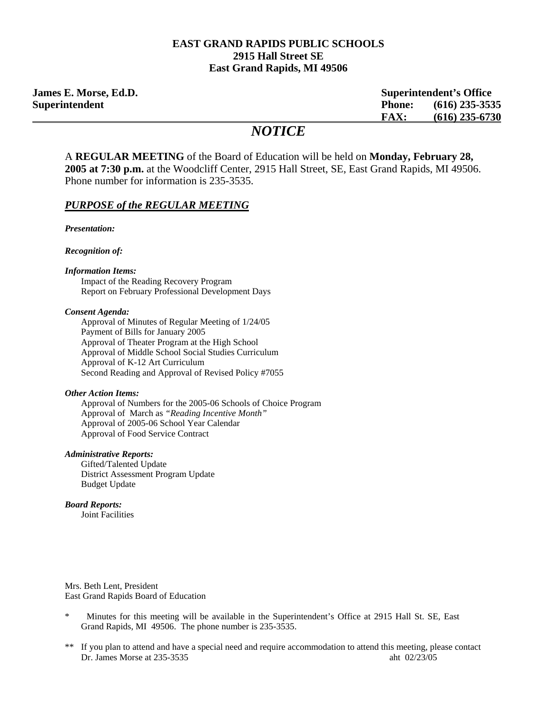#### **EAST GRAND RAPIDS PUBLIC SCHOOLS 2915 Hall Street SE East Grand Rapids, MI 49506**

**James E. Morse, Ed.D. Superintendent's Office Superintendent Phone: (616) 235-3535 FAX: (616) 235-6730**

# *NOTICE*

A **REGULAR MEETING** of the Board of Education will be held on **Monday, February 28, 2005 at 7:30 p.m.** at the Woodcliff Center, 2915 Hall Street, SE, East Grand Rapids, MI 49506. Phone number for information is 235-3535.

#### *PURPOSE of the REGULAR MEETING*

*Presentation:* 

*Recognition of:* 

#### *Information Items:*

Impact of the Reading Recovery Program Report on February Professional Development Days

#### *Consent Agenda:*

 Approval of Minutes of Regular Meeting of 1/24/05 Payment of Bills for January 2005 Approval of Theater Program at the High School Approval of Middle School Social Studies Curriculum Approval of K-12 Art Curriculum Second Reading and Approval of Revised Policy #7055

#### *Other Action Items:*

 Approval of Numbers for the 2005-06 Schools of Choice Program Approval of March as *"Reading Incentive Month"* Approval of 2005-06 School Year Calendar Approval of Food Service Contract

#### *Administrative Reports:*

Gifted/Talented Update District Assessment Program Update Budget Update

#### *Board Reports:*

Joint Facilities

Mrs. Beth Lent, President East Grand Rapids Board of Education

- \* Minutes for this meeting will be available in the Superintendent's Office at 2915 Hall St. SE, East Grand Rapids, MI 49506. The phone number is 235-3535.
- \*\* If you plan to attend and have a special need and require accommodation to attend this meeting, please contact Dr. James Morse at 235-3535 aht 02/23/05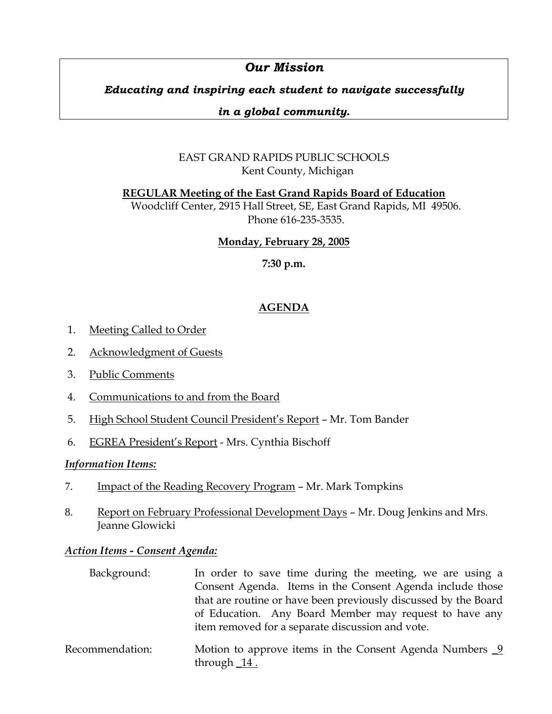# *Our Mission*

# *Educating and inspiring each student to navigate successfully*

## *in a global community.*

# EAST GRAND RAPIDS PUBLIC SCHOOLS Kent County, Michigan

**REGULAR Meeting of the East Grand Rapids Board of Education**

Woodcliff Center, 2915 Hall Street, SE, East Grand Rapids, MI 49506. Phone 616-235-3535.

## **Monday, February 28, 2005**

**7:30 p.m.**

# **AGENDA**

- 1. Meeting Called to Order
- 2. Acknowledgment of Guests
- 3. Public Comments
- 4. Communications to and from the Board
- 5. High School Student Council President's Report Mr. Tom Bander
- 6. EGREA President's Report Mrs. Cynthia Bischoff

## *Information Items:*

- 7. Impact of the Reading Recovery Program Mr. Mark Tompkins
- 8. Report on February Professional Development Days Mr. Doug Jenkins and Mrs. Jeanne Glowicki

## *Action Items - Consent Agenda:*

| Background: | In order to save time during the meeting, we are using a        |
|-------------|-----------------------------------------------------------------|
|             | Consent Agenda. Items in the Consent Agenda include those       |
|             | that are routine or have been previously discussed by the Board |
|             | of Education. Any Board Member may request to have any          |
|             | item removed for a separate discussion and vote.                |
|             |                                                                 |

Recommendation: Motion to approve items in the Consent Agenda Numbers 9 through \_14 .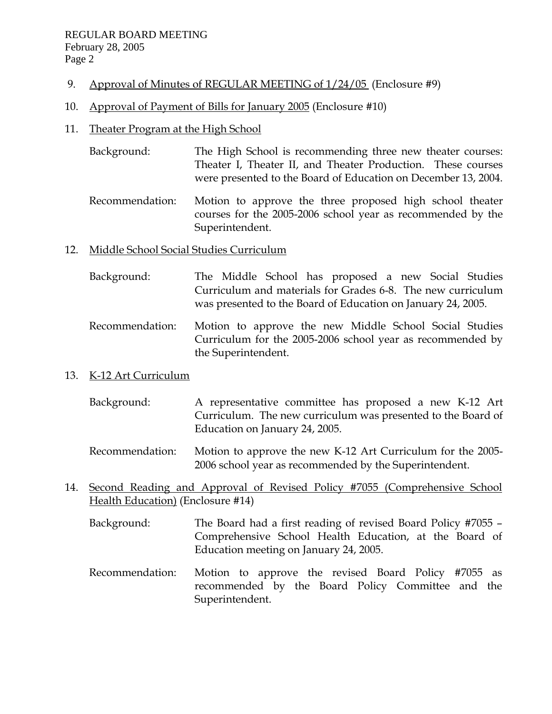- 9. Approval of Minutes of REGULAR MEETING of  $1/24/05$  (Enclosure #9)
- 10. Approval of Payment of Bills for January 2005 (Enclosure #10)

## 11. Theater Program at the High School

- Background: The High School is recommending three new theater courses: Theater I, Theater II, and Theater Production. These courses were presented to the Board of Education on December 13, 2004.
- Recommendation: Motion to approve the three proposed high school theater courses for the 2005-2006 school year as recommended by the Superintendent.

## 12. Middle School Social Studies Curriculum

- Background: The Middle School has proposed a new Social Studies Curriculum and materials for Grades 6-8. The new curriculum was presented to the Board of Education on January 24, 2005.
- Recommendation: Motion to approve the new Middle School Social Studies Curriculum for the 2005-2006 school year as recommended by the Superintendent.

### 13. K-12 Art Curriculum

- Background: A representative committee has proposed a new K-12 Art Curriculum. The new curriculum was presented to the Board of Education on January 24, 2005.
- Recommendation: Motion to approve the new K-12 Art Curriculum for the 2005- 2006 school year as recommended by the Superintendent.
- 14. Second Reading and Approval of Revised Policy #7055 (Comprehensive School Health Education) (Enclosure #14)
	- Background: The Board had a first reading of revised Board Policy #7055 Comprehensive School Health Education, at the Board of Education meeting on January 24, 2005.
	- Recommendation: Motion to approve the revised Board Policy #7055 as recommended by the Board Policy Committee and the Superintendent.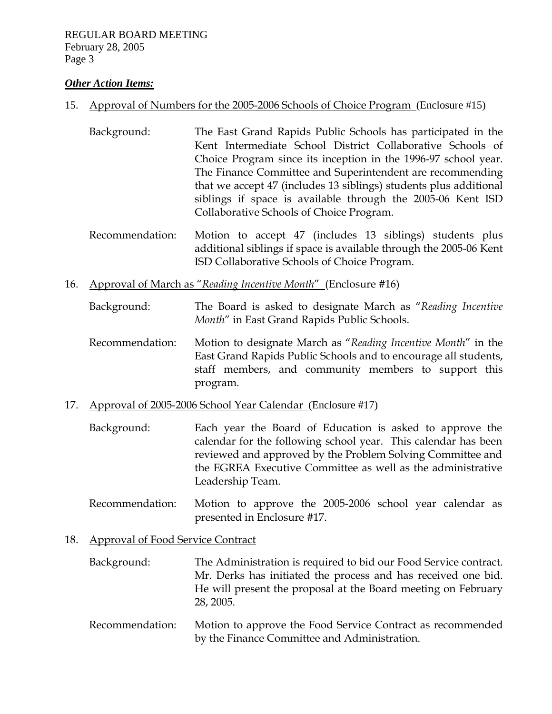#### *Other Action Items:*

#### 15. Approval of Numbers for the 2005-2006 Schools of Choice Program (Enclosure #15)

- Background: The East Grand Rapids Public Schools has participated in the Kent Intermediate School District Collaborative Schools of Choice Program since its inception in the 1996-97 school year. The Finance Committee and Superintendent are recommending that we accept 47 (includes 13 siblings) students plus additional siblings if space is available through the 2005-06 Kent ISD Collaborative Schools of Choice Program.
- Recommendation: Motion to accept 47 (includes 13 siblings) students plus additional siblings if space is available through the 2005-06 Kent ISD Collaborative Schools of Choice Program.
- 16. Approval of March as "*Reading Incentive Month*" (Enclosure #16)
	- Background: The Board is asked to designate March as "*Reading Incentive Month*" in East Grand Rapids Public Schools.
	- Recommendation: Motion to designate March as "*Reading Incentive Month*" in the East Grand Rapids Public Schools and to encourage all students, staff members, and community members to support this program.
- 17. Approval of 2005-2006 School Year Calendar (Enclosure #17)
	- Background: Each year the Board of Education is asked to approve the calendar for the following school year. This calendar has been reviewed and approved by the Problem Solving Committee and the EGREA Executive Committee as well as the administrative Leadership Team.
	- Recommendation: Motion to approve the 2005-2006 school year calendar as presented in Enclosure #17.

### 18. Approval of Food Service Contract

| Background: | The Administration is required to bid our Food Service contract. |
|-------------|------------------------------------------------------------------|
|             | Mr. Derks has initiated the process and has received one bid.    |
|             | He will present the proposal at the Board meeting on February    |
|             | 28, 2005.                                                        |

 Recommendation: Motion to approve the Food Service Contract as recommended by the Finance Committee and Administration.